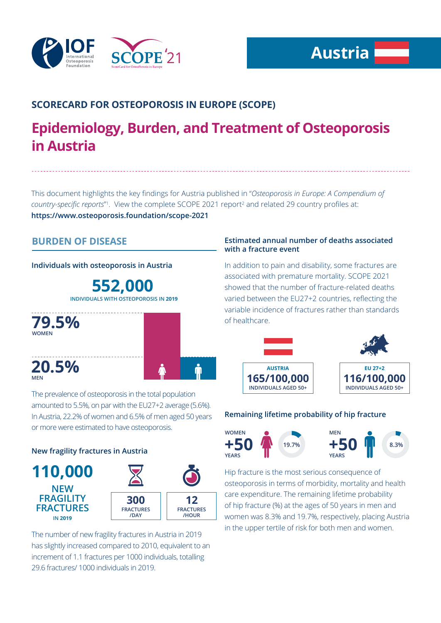

# **SCORECARD FOR OSTEOPOROSIS IN EUROPE (SCOPE)**

# **Epidemiology, Burden, and Treatment of Osteoporosis in Austria**

This document highlights the key findings for Austria published in "*Osteoporosis in Europe: A Compendium of*  country-specific reports<sup>"</sup>. View the complete SCOPE 2021 report<sup>2</sup> and related 29 country profiles at: **https://www.osteoporosis.foundation/scope-2021**

# **BURDEN OF DISEASE**

#### **Individuals with osteoporosis in Austria**

**552,000 INDIVIDUALS WITH OSTEOPOROSIS IN 2019**



## **Estimated annual number of deaths associated with a fracture event**

In addition to pain and disability, some fractures are associated with premature mortality. SCOPE 2021 showed that the number of fracture-related deaths varied between the EU27+2 countries, reflecting the variable incidence of fractures rather than standards of healthcare.



#### **Remaining lifetime probability of hip fracture**



Hip fracture is the most serious consequence of osteoporosis in terms of morbidity, mortality and health care expenditure. The remaining lifetime probability of hip fracture (%) at the ages of 50 years in men and women was 8.3% and 19.7%, respectively, placing Austria in the upper tertile of risk for both men and women.

The prevalence of osteoporosis in the total population amounted to 5.5%, on par with the EU27+2 average (5.6%). In Austria, 22.2% of women and 6.5% of men aged 50 years or more were estimated to have osteoporosis.

### **New fragility fractures in Austria**



The number of new fragility fractures in Austria in 2019 has slightly increased compared to 2010, equivalent to an increment of 1.1 fractures per 1000 individuals, totalling 29.6 fractures/ 1000 individuals in 2019.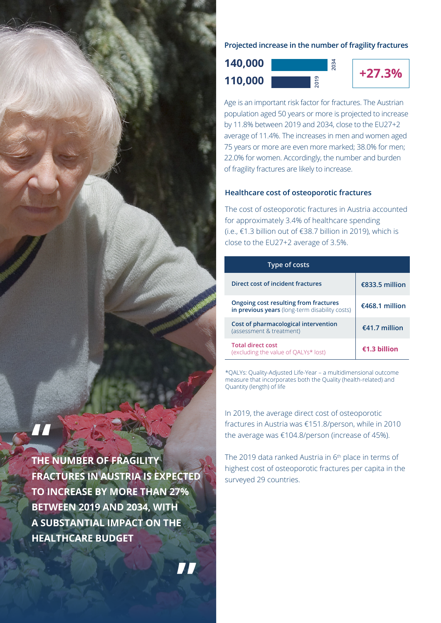

**2034**

**+27.3% 110,000 140,000**

**2019**

Age is an important risk factor for fractures. The Austrian population aged 50 years or more is projected to increase by 11.8% between 2019 and 2034, close to the EU27+2 average of 11.4%. The increases in men and women aged 75 years or more are even more marked; 38.0% for men; 22.0% for women. Accordingly, the number and burden of fragility fractures are likely to increase.

#### **Healthcare cost of osteoporotic fractures**

The cost of osteoporotic fractures in Austria accounted for approximately 3.4% of healthcare spending (i.e., €1.3 billion out of €38.7 billion in 2019), which is close to the EU27+2 average of 3.5%.

| Type of costs                                                                           |                          |
|-----------------------------------------------------------------------------------------|--------------------------|
| Direct cost of incident fractures                                                       | $\epsilon$ 833.5 million |
| Ongoing cost resulting from fractures<br>in previous years (long-term disability costs) | €468.1 million           |
| Cost of pharmacological intervention<br>(assessment & treatment)                        | $£41.7$ million          |
| <b>Total direct cost</b><br>(excluding the value of QALYs* lost)                        | $f1.3$ hillion           |

\*QALYs: Quality-Adjusted Life-Year – a multidimensional outcome measure that incorporates both the Quality (health-related) and Quantity (length) of life

In 2019, the average direct cost of osteoporotic fractures in Austria was €151.8/person, while in 2010 the average was €104.8/person (increase of 45%).

The 2019 data ranked Austria in 6<sup>th</sup> place in terms of highest cost of osteoporotic fractures per capita in the surveyed 29 countries.

**THE NUMBER OF FRAGILITY FRACTURES IN AUSTRIA IS EXPECTED TO INCREASE BY MORE THAN 27% BETWEEN 2019 AND 2034, WITH A SUBSTANTIAL IMPACT ON THE HEALTHCARE BUDGET**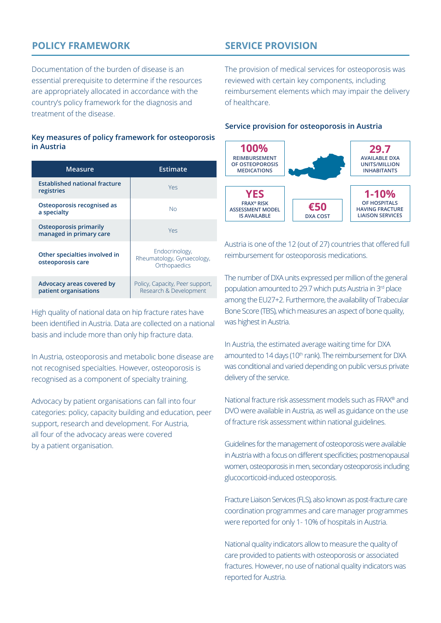# **POLICY FRAMEWORK**

Documentation of the burden of disease is an essential prerequisite to determine if the resources are appropriately allocated in accordance with the country's policy framework for the diagnosis and treatment of the disease.

#### **Key measures of policy framework for osteoporosis in Austria**

| <b>Measure</b>                                           | Estimate                                                     |
|----------------------------------------------------------|--------------------------------------------------------------|
| <b>Established national fracture</b><br>registries       | Yes                                                          |
| Osteoporosis recognised as<br>a specialty                | NΩ                                                           |
| <b>Osteoporosis primarily</b><br>managed in primary care | Yes                                                          |
| Other specialties involved in<br>osteoporosis care       | Endocrinology,<br>Rheumatology, Gynaecology,<br>Orthopaedics |
| Advocacy areas covered by<br>patient organisations       | Policy, Capacity, Peer support,<br>Research & Development    |

High quality of national data on hip fracture rates have been identified in Austria. Data are collected on a national basis and include more than only hip fracture data.

In Austria, osteoporosis and metabolic bone disease are not recognised specialties. However, osteoporosis is recognised as a component of specialty training.

Advocacy by patient organisations can fall into four categories: policy, capacity building and education, peer support, research and development. For Austria, all four of the advocacy areas were covered by a patient organisation.

# **SERVICE PROVISION**

The provision of medical services for osteoporosis was reviewed with certain key components, including reimbursement elements which may impair the delivery of healthcare.

#### **Service provision for osteoporosis in Austria**



Austria is one of the 12 (out of 27) countries that offered full reimbursement for osteoporosis medications.

The number of DXA units expressed per million of the general population amounted to 29.7 which puts Austria in 3rd place among the EU27+2. Furthermore, the availability of Trabecular Bone Score (TBS), which measures an aspect of bone quality, was highest in Austria.

In Austria, the estimated average waiting time for DXA amounted to 14 days (10<sup>th</sup> rank). The reimbursement for DXA was conditional and varied depending on public versus private delivery of the service.

National fracture risk assessment models such as FRAX® and DVO were available in Austria, as well as guidance on the use of fracture risk assessment within national guidelines.

Guidelines for the management of osteoporosis were available in Austria with a focus on different specificities; postmenopausal women, osteoporosis in men, secondary osteoporosis including glucocorticoid-induced osteoporosis.

Fracture Liaison Services (FLS), also known as post-fracture care coordination programmes and care manager programmes were reported for only 1- 10% of hospitals in Austria.

National quality indicators allow to measure the quality of care provided to patients with osteoporosis or associated fractures. However, no use of national quality indicators was reported for Austria.